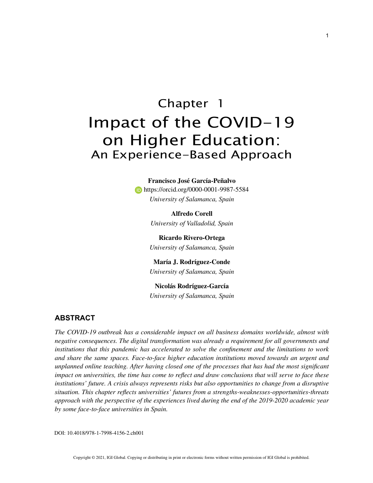# Chapter 1 Impact of the COVID-19 on Higher Education: An Experience-Based Approach

#### **Francisco José García-Peñalvo**

**https://orcid.org/0000-0001-9987-5584** *University of Salamanca, Spain*

> **Alfredo Corell** *University of Valladolid, Spain*

**Ricardo Rivero-Ortega** *University of Salamanca, Spain*

**María J. Rodríguez-Conde** *University of Salamanca, Spain*

**Nicolás Rodríguez-García** *University of Salamanca, Spain*

## **ABSTRACT**

*The COVID-19 outbreak has a considerable impact on all business domains worldwide, almost with negative consequences. The digital transformation was already a requirement for all governments and institutions that this pandemic has accelerated to solve the confinement and the limitations to work and share the same spaces. Face-to-face higher education institutions moved towards an urgent and unplanned online teaching. After having closed one of the processes that has had the most significant impact on universities, the time has come to reflect and draw conclusions that will serve to face these institutions' future. A crisis always represents risks but also opportunities to change from a disruptive situation. This chapter reflects universities' futures from a strengths-weaknesses-opportunities-threats approach with the perspective of the experiences lived during the end of the 2019-2020 academic year by some face-to-face universities in Spain.*

DOI: 10.4018/978-1-7998-4156-2.ch001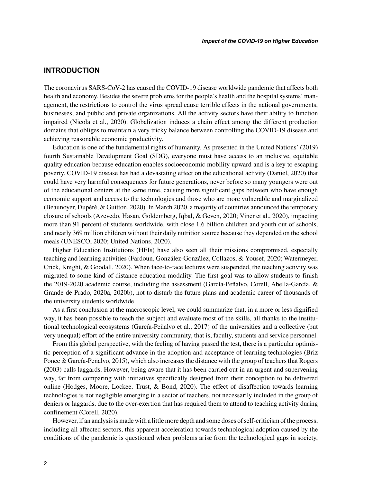## **INTRODUCTION**

The coronavirus SARS-CoV-2 has caused the COVID-19 disease worldwide pandemic that affects both health and economy. Besides the severe problems for the people's health and the hospital systems' management, the restrictions to control the virus spread cause terrible effects in the national governments, businesses, and public and private organizations. All the activity sectors have their ability to function impaired (Nicola et al., 2020). Globalization induces a chain effect among the different production domains that obliges to maintain a very tricky balance between controlling the COVID-19 disease and achieving reasonable economic productivity.

Education is one of the fundamental rights of humanity. As presented in the United Nations' (2019) fourth Sustainable Development Goal (SDG), everyone must have access to an inclusive, equitable quality education because education enables socioeconomic mobility upward and is a key to escaping poverty. COVID-19 disease has had a devastating effect on the educational activity (Daniel, 2020) that could have very harmful consequences for future generations, never before so many youngers were out of the educational centers at the same time, causing more significant gaps between who have enough economic support and access to the technologies and those who are more vulnerable and marginalized (Beaunoyer, Dupéré, & Guitton, 2020). In March 2020, a majority of countries announced the temporary closure of schools (Azevedo, Hasan, Goldemberg, Iqbal, & Geven, 2020; Viner et al., 2020), impacting more than 91 percent of students worldwide, with close 1.6 billion children and youth out of schools, and nearly 369 million children without their daily nutrition source because they depended on the school meals (UNESCO, 2020; United Nations, 2020).

Higher Education Institutions (HEIs) have also seen all their missions compromised, especially teaching and learning activities (Fardoun, González-González, Collazos, & Yousef, 2020; Watermeyer, Crick, Knight, & Goodall, 2020). When face-to-face lectures were suspended, the teaching activity was migrated to some kind of distance education modality. The first goal was to allow students to finish the 2019-2020 academic course, including the assessment (García-Peñalvo, Corell, Abella-García, & Grande-de-Prado, 2020a, 2020b), not to disturb the future plans and academic career of thousands of the university students worldwide.

As a first conclusion at the macroscopic level, we could summarize that, in a more or less dignified way, it has been possible to teach the subject and evaluate most of the skills, all thanks to the institutional technological ecosystems (García-Peñalvo et al., 2017) of the universities and a collective (but very unequal) effort of the entire university community, that is, faculty, students and service personnel.

From this global perspective, with the feeling of having passed the test, there is a particular optimistic perception of a significant advance in the adoption and acceptance of learning technologies (Briz Ponce & García-Peñalvo, 2015), which also increases the distance with the group of teachers that Rogers (2003) calls laggards. However, being aware that it has been carried out in an urgent and supervening way, far from comparing with initiatives specifically designed from their conception to be delivered online (Hodges, Moore, Lockee, Trust, & Bond, 2020). The effect of disaffection towards learning technologies is not negligible emerging in a sector of teachers, not necessarily included in the group of deniers or laggards, due to the over-exertion that has required them to attend to teaching activity during confinement (Corell, 2020).

However, if an analysis is made with a little more depth and some doses of self-criticism of the process, including all affected sectors, this apparent acceleration towards technological adoption caused by the conditions of the pandemic is questioned when problems arise from the technological gaps in society,